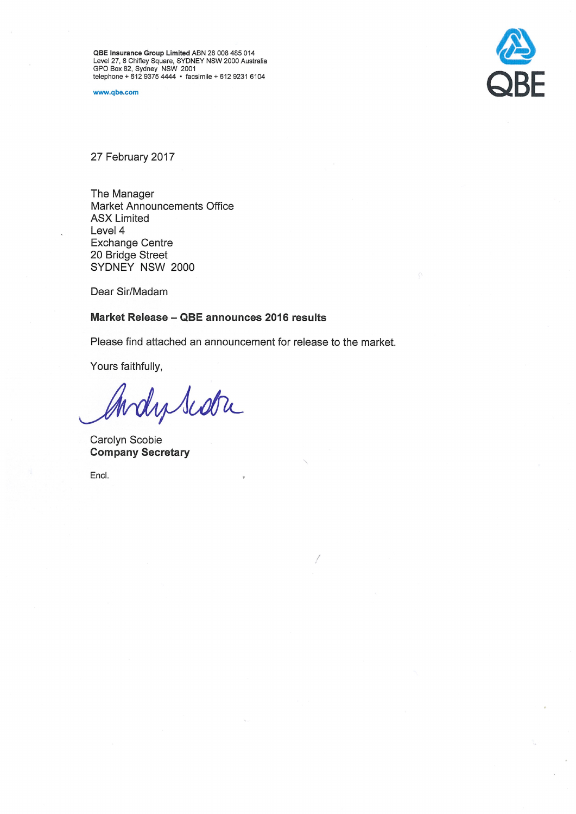QBE Insurance Group Limited ABN 28 008 485 014<br>Level 27, 8 Chifley Square, SYDNEY NSW 2000 Australia<br>GPO Box 82, Sydney NSW 2001<br>telephone + 612 9375 4444 • facsimile + 612 9231 6104

www.qbe.com



27 February 2017

The Manager Market Announcements Office **ASX Limited** Level 4 **Exchange Centre** 20 Bridge Street SYDNEY NSW 2000

Dear Sir/Madam

# Market Release - QBE announces 2016 results

Please find attached an announcement for release to the market.

Yours faithfully,

Andy Scotre

Carolyn Scobie **Company Secretary** 

Encl.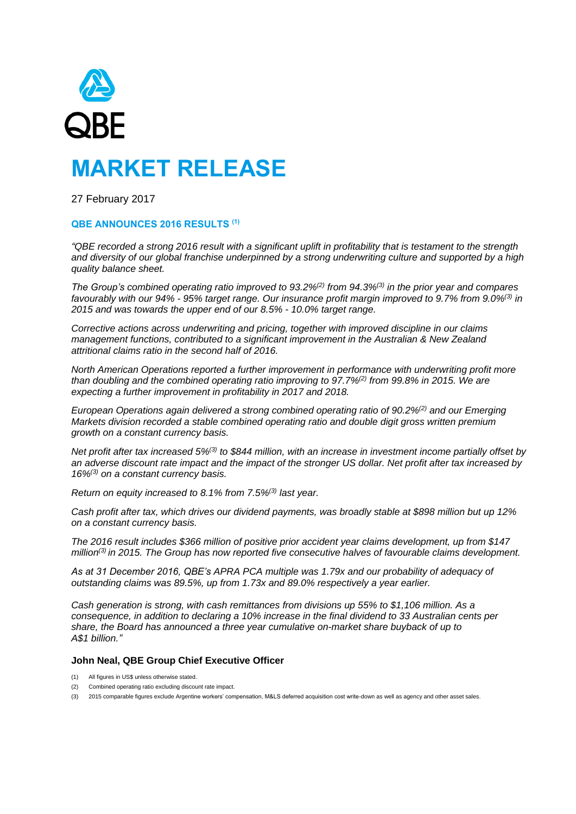

# **MARKET RELEASE**

27 February 2017

# **QBE ANNOUNCES 2016 RESULTS (1)**

*"QBE recorded a strong 2016 result with a significant uplift in profitability that is testament to the strength and diversity of our global franchise underpinned by a strong underwriting culture and supported by a high quality balance sheet.*

*The Group's combined operating ratio improved to 93.2%(2) from 94.3%(3) in the prior year and compares favourably with our 94% - 95% target range. Our insurance profit margin improved to 9.7% from 9.0%(3) in 2015 and was towards the upper end of our 8.5% - 10.0% target range.*

*Corrective actions across underwriting and pricing, together with improved discipline in our claims management functions, contributed to a significant improvement in the Australian & New Zealand attritional claims ratio in the second half of 2016.* 

*North American Operations reported a further improvement in performance with underwriting profit more than doubling and the combined operating ratio improving to 97.7%(2) from 99.8% in 2015. We are expecting a further improvement in profitability in 2017 and 2018.*

*European Operations again delivered a strong combined operating ratio of 90.2%(2) and our Emerging Markets division recorded a stable combined operating ratio and double digit gross written premium growth on a constant currency basis.*

*Net profit after tax increased 5%(3) to \$844 million, with an increase in investment income partially offset by an adverse discount rate impact and the impact of the stronger US dollar. Net profit after tax increased by 16%(3) on a constant currency basis.* 

*Return on equity increased to 8.1% from 7.5%(3) last year.*

*Cash profit after tax, which drives our dividend payments, was broadly stable at \$898 million but up 12% on a constant currency basis.*

*The 2016 result includes \$366 million of positive prior accident year claims development, up from \$147 million(3) in 2015. The Group has now reported five consecutive halves of favourable claims development.* 

*As at 31 December 2016, QBE's APRA PCA multiple was 1.79x and our probability of adequacy of outstanding claims was 89.5%, up from 1.73x and 89.0% respectively a year earlier.* 

*Cash generation is strong, with cash remittances from divisions up 55% to \$1,106 million. As a consequence, in addition to declaring a 10% increase in the final dividend to 33 Australian cents per share, the Board has announced a three year cumulative on-market share buyback of up to A\$1 billion."*

# **John Neal, QBE Group Chief Executive Officer**

- (1) All figures in US\$ unless otherwise stated.
- (2) Combined operating ratio excluding discount rate impact.
- (3) 2015 comparable figures exclude Argentine workers' compensation, M&LS deferred acquisition cost write-down as well as agency and other asset sales.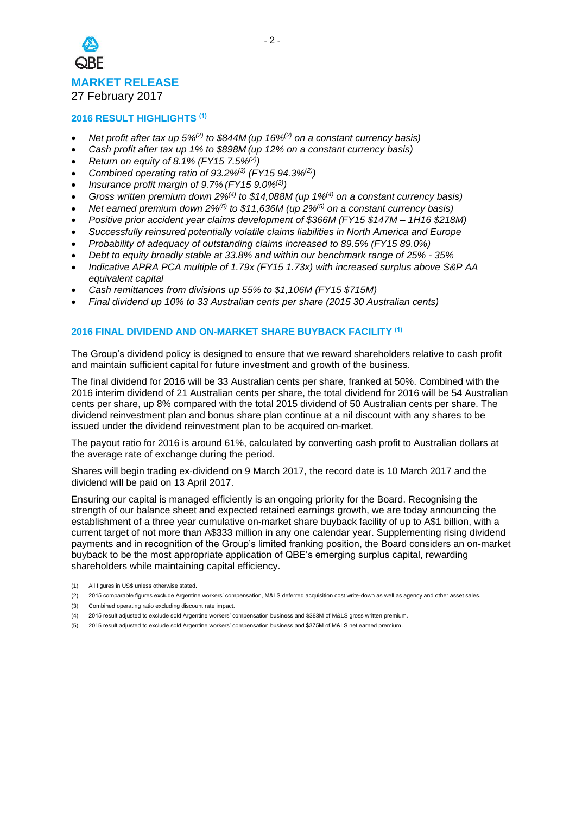

27 February 2017

# **2016 RESULT HIGHLIGHTS (1)**

- *Net profit after tax up 5%(2) to \$844M (up 16%(2) on a constant currency basis)*
- *Cash profit after tax up 1% to \$898M (up 12% on a constant currency basis)*
- *Return on equity of 8.1% (FY15 7.5%(2) )*
- *Combined operating ratio of 93.2%(3) (FY15 94.3%(2) )*
- *Insurance profit margin of 9.7% (FY15 9.0%(2) )*
- *Gross written premium down 2%(4) to \$14,088M (up 1%(4) on a constant currency basis)*
- *Net earned premium down 2%(5) to \$11,636M (up 2%(5) on a constant currency basis)*
- *Positive prior accident year claims development of \$366M (FY15 \$147M – 1H16 \$218M)*
- *Successfully reinsured potentially volatile claims liabilities in North America and Europe*
- *Probability of adequacy of outstanding claims increased to 89.5% (FY15 89.0%)*
- *Debt to equity broadly stable at 33.8% and within our benchmark range of 25% - 35%*
- *Indicative APRA PCA multiple of 1.79x (FY15 1.73x) with increased surplus above S&P AA equivalent capital*
- *Cash remittances from divisions up 55% to \$1,106M (FY15 \$715M)*
- *Final dividend up 10% to 33 Australian cents per share (2015 30 Australian cents)*

#### **2016 FINAL DIVIDEND AND ON-MARKET SHARE BUYBACK FACILITY (1)**

The Group's dividend policy is designed to ensure that we reward shareholders relative to cash profit and maintain sufficient capital for future investment and growth of the business.

The final dividend for 2016 will be 33 Australian cents per share, franked at 50%. Combined with the 2016 interim dividend of 21 Australian cents per share, the total dividend for 2016 will be 54 Australian cents per share, up 8% compared with the total 2015 dividend of 50 Australian cents per share. The dividend reinvestment plan and bonus share plan continue at a nil discount with any shares to be issued under the dividend reinvestment plan to be acquired on-market.

The payout ratio for 2016 is around 61%, calculated by converting cash profit to Australian dollars at the average rate of exchange during the period.

Shares will begin trading ex-dividend on 9 March 2017, the record date is 10 March 2017 and the dividend will be paid on 13 April 2017.

Ensuring our capital is managed efficiently is an ongoing priority for the Board. Recognising the strength of our balance sheet and expected retained earnings growth, we are today announcing the establishment of a three year cumulative on-market share buyback facility of up to A\$1 billion, with a current target of not more than A\$333 million in any one calendar year. Supplementing rising dividend payments and in recognition of the Group's limited franking position, the Board considers an on-market buyback to be the most appropriate application of QBE's emerging surplus capital, rewarding shareholders while maintaining capital efficiency.

- (1) All figures in US\$ unless otherwise stated.
- (2) 2015 comparable figures exclude Argentine workers' compensation, M&LS deferred acquisition cost write-down as well as agency and other asset sales.
- (3) Combined operating ratio excluding discount rate impact.
- (4) 2015 result adjusted to exclude sold Argentine workers' compensation business and \$383M of M&LS gross written premium.
- (5) 2015 result adjusted to exclude sold Argentine workers' compensation business and \$375M of M&LS net earned premium.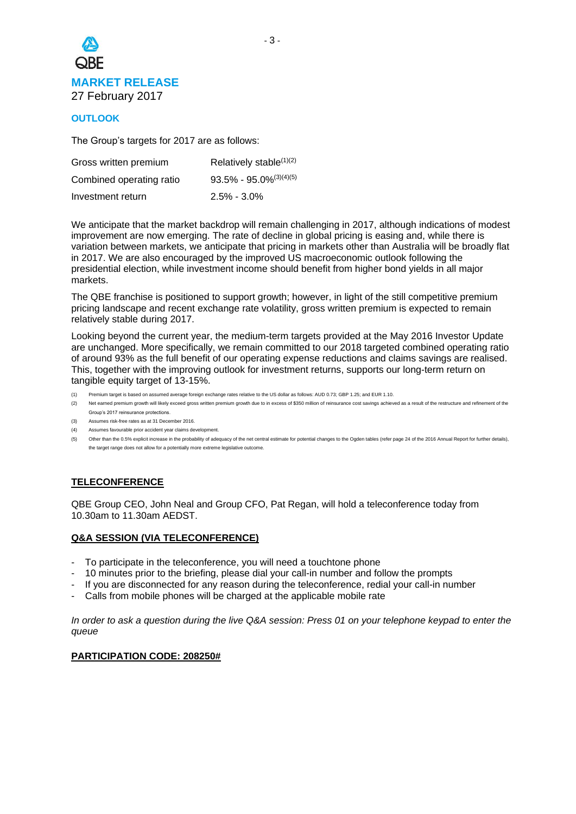

# **OUTLOOK**

The Group's targets for 2017 are as follows:

| Gross written premium    | Relatively stable $(1)(2)$    |
|--------------------------|-------------------------------|
| Combined operating ratio | $93.5\% - 95.0\%^{(3)(4)(5)}$ |
| Investment return        | $2.5\% - 3.0\%$               |

We anticipate that the market backdrop will remain challenging in 2017, although indications of modest improvement are now emerging. The rate of decline in global pricing is easing and, while there is variation between markets, we anticipate that pricing in markets other than Australia will be broadly flat in 2017. We are also encouraged by the improved US macroeconomic outlook following the presidential election, while investment income should benefit from higher bond yields in all major markets.

The QBE franchise is positioned to support growth; however, in light of the still competitive premium pricing landscape and recent exchange rate volatility, gross written premium is expected to remain relatively stable during 2017.

Looking beyond the current year, the medium-term targets provided at the May 2016 Investor Update are unchanged. More specifically, we remain committed to our 2018 targeted combined operating ratio of around 93% as the full benefit of our operating expense reductions and claims savings are realised. This, together with the improving outlook for investment returns, supports our long-term return on tangible equity target of 13-15%.

- (1) Premium target is based on assumed average foreign exchange rates relative to the US dollar as follows: AUD 0.73; GBP 1.25; and EUR 1.10.
- (2) Net earned premium growth will likely exceed gross written premium growth due to in excess of \$350 million of reinsurance cost savings achieved as a result of the restructure and refinement of the Group's 2017 reinsurance protections.
- (3) Assumes risk-free rates as at 31 December 2016.
- (4) Assumes favourable prior accident year claims development.
- (5) Other than the 0.5% explicit increase in the probability of adequacy of the net central estimate for potential changes to the Ogden tables (refer page 24 of the 2016 Annual Report for further details), the target range does not allow for a potentially more extreme legislative outcome.

# **TELECONFERENCE**

QBE Group CEO, John Neal and Group CFO, Pat Regan, will hold a teleconference today from 10.30am to 11.30am AEDST.

# **Q&A SESSION (VIA TELECONFERENCE)**

- To participate in the teleconference, you will need a touchtone phone
- 10 minutes prior to the briefing, please dial your call-in number and follow the prompts
- If you are disconnected for any reason during the teleconference, redial your call-in number
- Calls from mobile phones will be charged at the applicable mobile rate

*In order to ask a question during the live Q&A session: Press 01 on your telephone keypad to enter the queue*

## **PARTICIPATION CODE: 208250#**